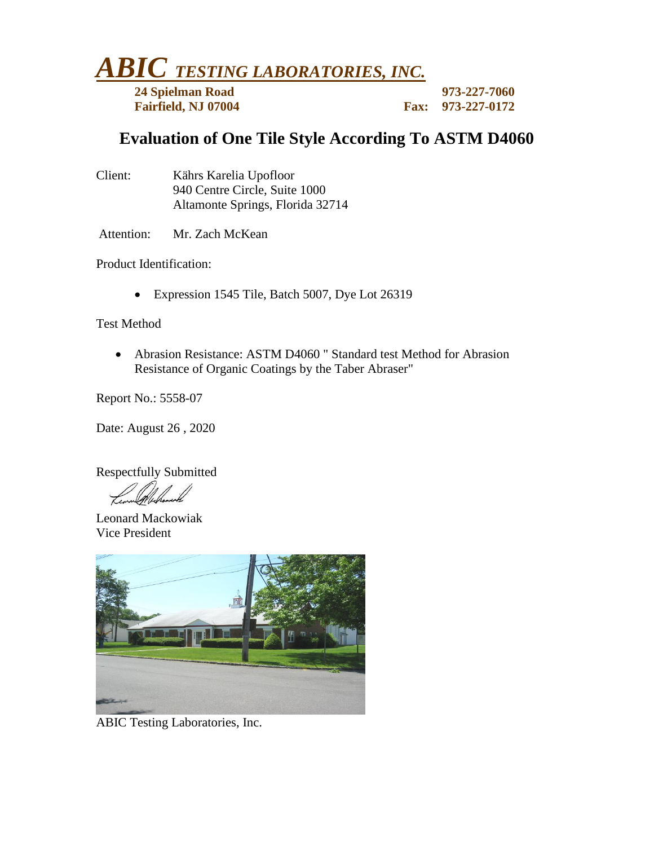*ABIC TESTING LABORATORIES, INC.*

**24 Spielman Road 973-227-7060 Fairfield, NJ 07004 Fax:** 973-1227-01722

## **Evaluation of One Tile Style According To ASTM D4060**

| Client: | Kährs Karelia Upofloor           |
|---------|----------------------------------|
|         | 940 Centre Circle, Suite 1000    |
|         | Altamonte Springs, Florida 32714 |

Attention: Mr. Zach McKean

Product Identification:

• Expression 1545 Tile, Batch 5007, Dye Lot 26319

Test Method

• Abrasion Resistance: ASTM D4060 " Standard test Method for Abrasion Resistance of Organic Coatings by the Taber Abraser"

Report No.: 5558-07

Date: August 26 , 2020

Respectfully Submitted

Leonard Mackowiak Vice President



ABIC Testing Laboratories, Inc.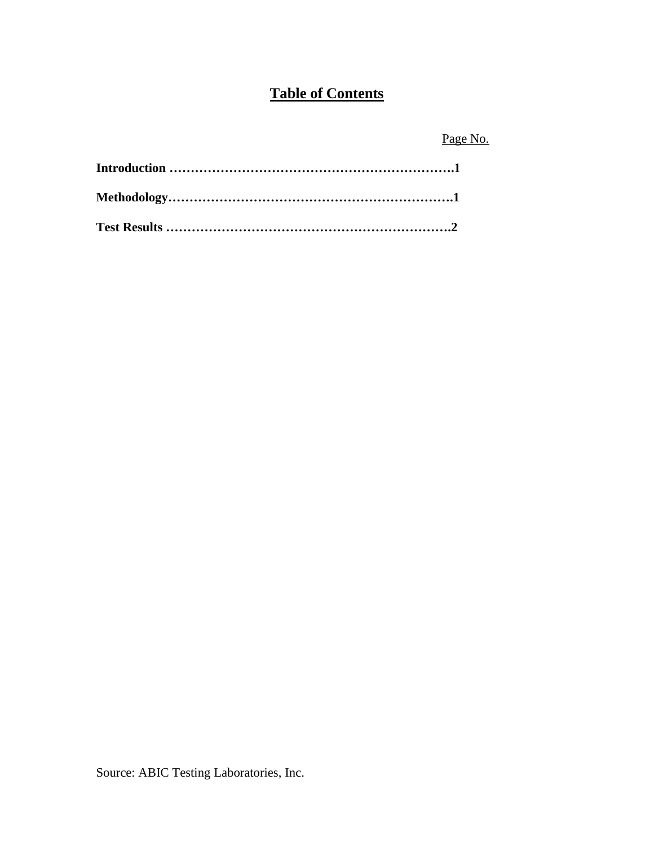# **Table of Contents**

Page No.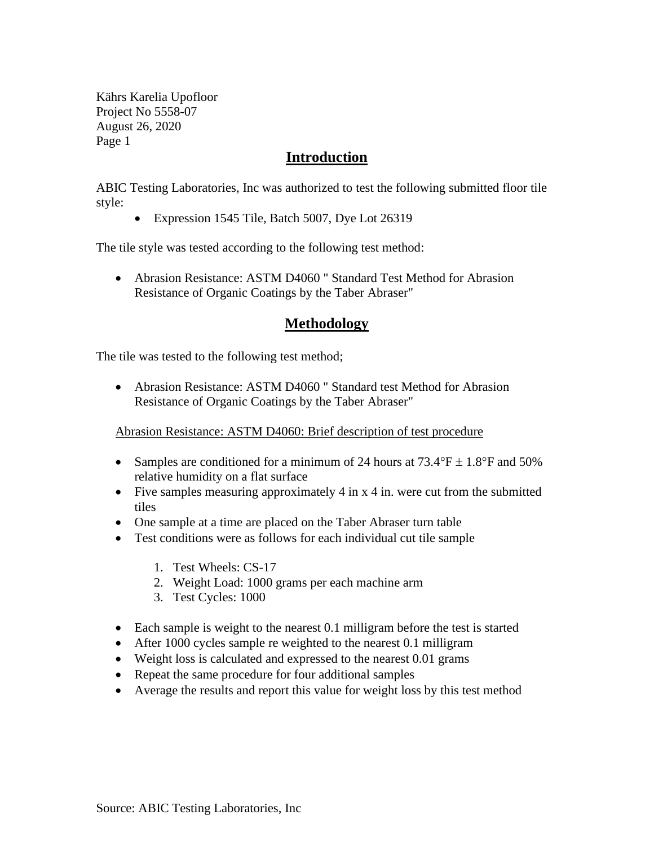Kährs Karelia Upofloor Project No 5558-07 August 26, 2020 Page 1

#### **Introduction**

ABIC Testing Laboratories, Inc was authorized to test the following submitted floor tile style:

• Expression 1545 Tile, Batch 5007, Dye Lot 26319

The tile style was tested according to the following test method:

• Abrasion Resistance: ASTM D4060 " Standard Test Method for Abrasion Resistance of Organic Coatings by the Taber Abraser"

### **Methodology**

The tile was tested to the following test method;

• Abrasion Resistance: ASTM D4060 " Standard test Method for Abrasion Resistance of Organic Coatings by the Taber Abraser"

Abrasion Resistance: ASTM D4060: Brief description of test procedure

- Samples are conditioned for a minimum of 24 hours at  $73.4^{\circ}$ F  $\pm$  1.8°F and 50% relative humidity on a flat surface
- Five samples measuring approximately 4 in x 4 in. were cut from the submitted tiles
- One sample at a time are placed on the Taber Abraser turn table
- Test conditions were as follows for each individual cut tile sample
	- 1. Test Wheels: CS-17
	- 2. Weight Load: 1000 grams per each machine arm
	- 3. Test Cycles: 1000
- Each sample is weight to the nearest 0.1 milligram before the test is started
- After 1000 cycles sample re weighted to the nearest 0.1 milligram
- Weight loss is calculated and expressed to the nearest 0.01 grams
- Repeat the same procedure for four additional samples
- Average the results and report this value for weight loss by this test method